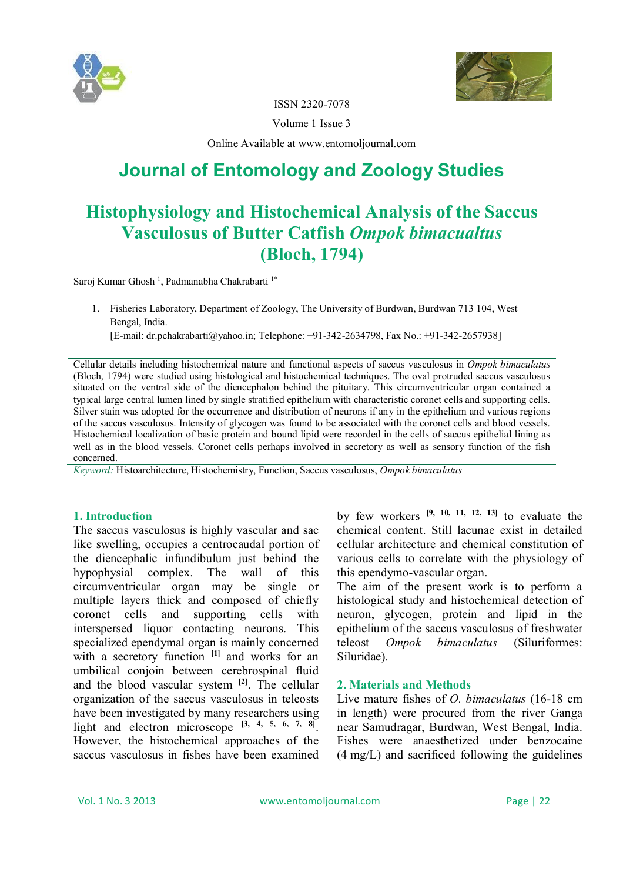



ISSN 2320-7078

Volume 1 Issue 3

Online Available at www.entomoljournal.com

# **Journal of Entomology and Zoology Studies**

# **Histophysiology and Histochemical Analysis of the Saccus Vasculosus of Butter Catfish** *Ompok bimacualtus* **(Bloch, 1794)**

Saroj Kumar Ghosh<sup>1</sup>, Padmanabha Chakrabarti<sup>1\*</sup>

1. Fisheries Laboratory, Department of Zoology, The University of Burdwan, Burdwan 713 104, West Bengal, India.

[E-mail: dr.pchakrabarti@yahoo.in; Telephone: +91-342-2634798, Fax No.: +91-342-2657938]

Cellular details including histochemical nature and functional aspects of saccus vasculosus in *Ompok bimaculatus* (Bloch, 1794) were studied using histological and histochemical techniques. The oval protruded saccus vasculosus situated on the ventral side of the diencephalon behind the pituitary. This circumventricular organ contained a typical large central lumen lined by single stratified epithelium with characteristic coronet cells and supporting cells. Silver stain was adopted for the occurrence and distribution of neurons if any in the epithelium and various regions of the saccus vasculosus. Intensity of glycogen was found to be associated with the coronet cells and blood vessels. Histochemical localization of basic protein and bound lipid were recorded in the cells of saccus epithelial lining as well as in the blood vessels. Coronet cells perhaps involved in secretory as well as sensory function of the fish concerned.

*Keyword:* Histoarchitecture, Histochemistry, Function, Saccus vasculosus, *Ompok bimaculatus*

## **1. Introduction**

The saccus vasculosus is highly vascular and sac like swelling, occupies a centrocaudal portion of the diencephalic infundibulum just behind the hypophysial complex. The wall of this circumventricular organ may be single or multiple layers thick and composed of chiefly coronet cells and supporting cells with interspersed liquor contacting neurons. This specialized ependymal organ is mainly concerned with a secretory function <sup>[1]</sup> and works for an umbilical conjoin between cerebrospinal fluid and the blood vascular system **[2]** . The cellular organization of the saccus vasculosus in teleosts have been investigated by many researchers using light and electron microscope **[3, 4, 5, 6, 7, 8]** . However, the histochemical approaches of the saccus vasculosus in fishes have been examined

by few workers **[9, 10, 11, 12, 13]** to evaluate the chemical content. Still lacunae exist in detailed cellular architecture and chemical constitution of various cells to correlate with the physiology of this ependymo-vascular organ.

The aim of the present work is to perform a histological study and histochemical detection of neuron, glycogen, protein and lipid in the epithelium of the saccus vasculosus of freshwater teleost *Ompok bimaculatus* (Siluriformes: Siluridae).

### **2. Materials and Methods**

Live mature fishes of *O. bimaculatus* (16-18 cm in length) were procured from the river Ganga near Samudragar, Burdwan, West Bengal, India. Fishes were anaesthetized under benzocaine (4 mg/L) and sacrificed following the guidelines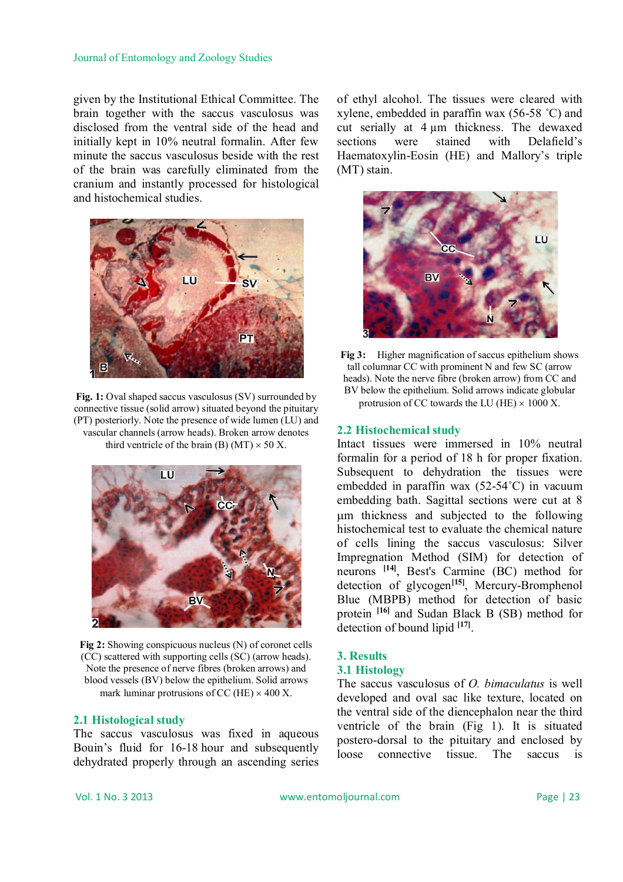given by the Institutional Ethical Committee. The brain together with the saccus vasculosus was disclosed from the ventral side of the head and initially kept in 10% neutral formalin. After few minute the saccus vasculosus beside with the rest of the brain was carefully eliminated from the cranium and instantly processed for histological and histochemical studies.



Fig. 1: Oval shaped saccus vasculosus (SV) surrounded by connective tissue (solid arrow) situated beyond the pituitary (PT) posteriorly. Note the presence of wide lumen (LU) and vascular channels (arrow heads). Broken arrow denotes third ventricle of the brain (B) (MT)  $\times$  50 X.



**Fig 2:** Showing conspicuous nucleus (N) of coronet cells (CC) scattered with supporting cells (SC) (arrow heads). Note the presence of nerve fibres (broken arrows) and blood vessels (BV) below the epithelium. Solid arrows mark luminar protrusions of CC (HE)  $\times$  400 X.

### **2.1 Histological study**

The saccus vasculosus was fixed in aqueous Bouin's fluid for 16-18 hour and subsequently dehydrated properly through an ascending series

of ethyl alcohol. The tissues were cleared with xylene, embedded in paraffin wax (56-58 ˚C) and cut serially at 4 µm thickness. The dewaxed sections were stained with Delafield's Haematoxylin-Eosin (HE) and Mallory's triple (MT) stain.



**Fig 3:** Higher magnification of saccus epithelium shows tall columnar CC with prominent N and few SC (arrow heads). Note the nerve fibre (broken arrow) from CC and BV below the epithelium. Solid arrows indicate globular protrusion of CC towards the LU (HE)  $\times$  1000 X.

#### **2.2 Histochemical study**

Intact tissues were immersed in 10% neutral formalin for a period of 18 h for proper fixation. Subsequent to dehydration the tissues were embedded in paraffin wax (52-54˚C) in vacuum embedding bath. Sagittal sections were cut at 8 m thickness and subjected to the following histochemical test to evaluate the chemical nature of cells lining the saccus vasculosus: Silver Impregnation Method (SIM) for detection of neurons **[14]** , Best's Carmine (BC) method for detection of glycogen**[15]** , Mercury-Bromphenol Blue (MBPB) method for detection of basic protein **[16]** and Sudan Black B (SB) method for detection of bound lipid **[17]** .

### **3. Results**

#### **3.1 Histology**

The saccus vasculosus of *O. bimaculatus* is well developed and oval sac like texture, located on the ventral side of the diencephalon near the third ventricle of the brain (Fig 1). It is situated postero-dorsal to the pituitary and enclosed by loose connective tissue. The saccus is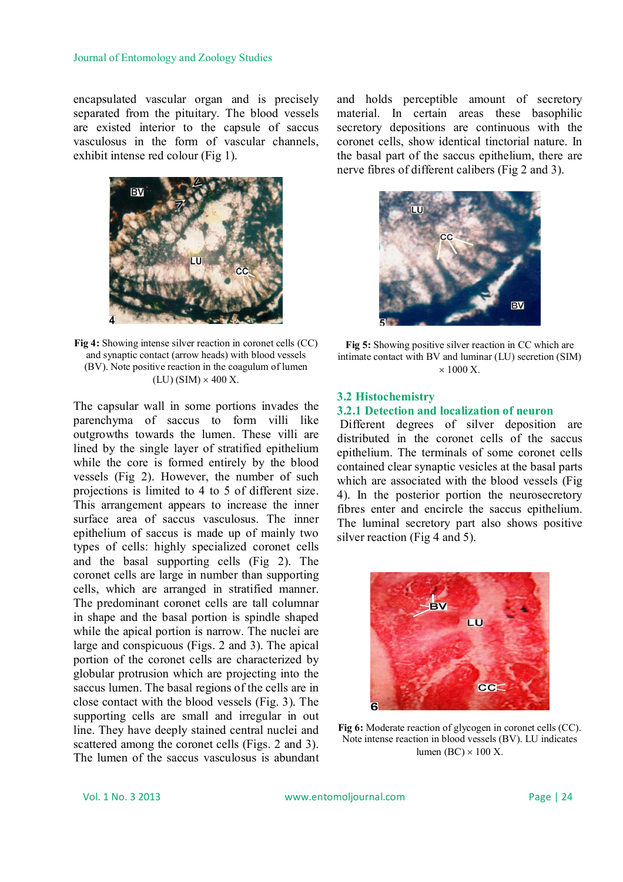encapsulated vascular organ and is precisely separated from the pituitary. The blood vessels are existed interior to the capsule of saccus vasculosus in the form of vascular channels, exhibit intense red colour (Fig 1).



**Fig 4:** Showing intense silver reaction in coronet cells (CC) and synaptic contact (arrow heads) with blood vessels (BV). Note positive reaction in the coagulum of lumen  $(LU)$  (SIM)  $\times$  400 X.

The capsular wall in some portions invades the parenchyma of saccus to form villi like outgrowths towards the lumen. These villi are lined by the single layer of stratified epithelium while the core is formed entirely by the blood vessels (Fig 2). However, the number of such projections is limited to 4 to 5 of different size. This arrangement appears to increase the inner surface area of saccus vasculosus. The inner epithelium of saccus is made up of mainly two types of cells: highly specialized coronet cells and the basal supporting cells (Fig 2). The coronet cells are large in number than supporting cells, which are arranged in stratified manner. The predominant coronet cells are tall columnar in shape and the basal portion is spindle shaped while the apical portion is narrow. The nuclei are large and conspicuous (Figs. 2 and 3). The apical portion of the coronet cells are characterized by globular protrusion which are projecting into the saccus lumen. The basal regions of the cells are in close contact with the blood vessels (Fig. 3). The supporting cells are small and irregular in out line. They have deeply stained central nuclei and scattered among the coronet cells (Figs. 2 and 3). The lumen of the saccus vasculosus is abundant

and holds perceptible amount of secretory material. In certain areas these basophilic secretory depositions are continuous with the coronet cells, show identical tinctorial nature. In the basal part of the saccus epithelium, there are nerve fibres of different calibers (Fig 2 and 3).



**Fig 5:** Showing positive silver reaction in CC which are intimate contact with BV and luminar (LU) secretion (SIM)  $\times$  1000 X.

#### **3.2 Histochemistry**

### **3.2.1 Detection and localization of neuron**

Different degrees of silver deposition are distributed in the coronet cells of the saccus epithelium. The terminals of some coronet cells contained clear synaptic vesicles at the basal parts which are associated with the blood vessels (Fig 4). In the posterior portion the neurosecretory fibres enter and encircle the saccus epithelium. The luminal secretory part also shows positive silver reaction (Fig 4 and 5).



**Fig 6:** Moderate reaction of glycogen in coronet cells (CC). Note intense reaction in blood vessels (BV). LU indicates lumen (BC)  $\times$  100 X.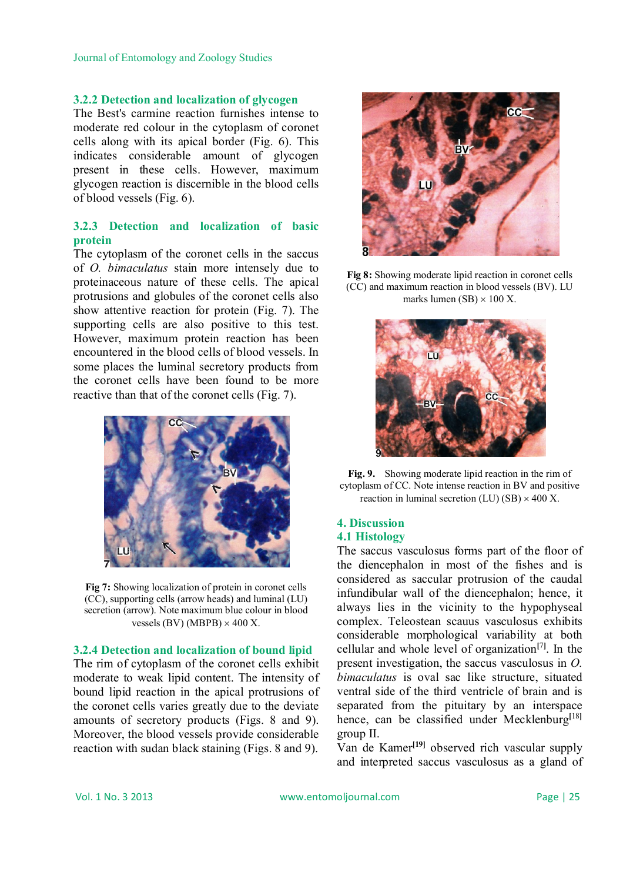## **3.2.2 Detection and localization of glycogen**

The Best's carmine reaction furnishes intense to moderate red colour in the cytoplasm of coronet cells along with its apical border (Fig. 6). This indicates considerable amount of glycogen present in these cells. However, maximum glycogen reaction is discernible in the blood cells of blood vessels (Fig. 6).

## **3.2.3 Detection and localization of basic protein**

The cytoplasm of the coronet cells in the saccus of *O. bimaculatus* stain more intensely due to proteinaceous nature of these cells. The apical protrusions and globules of the coronet cells also show attentive reaction for protein (Fig. 7). The supporting cells are also positive to this test. However, maximum protein reaction has been encountered in the blood cells of blood vessels. In some places the luminal secretory products from the coronet cells have been found to be more reactive than that of the coronet cells (Fig. 7).



**Fig 7:** Showing localization of protein in coronet cells (CC), supporting cells (arrow heads) and luminal (LU) secretion (arrow). Note maximum blue colour in blood vessels (BV) (MBPB)  $\times$  400 X.

### **3.2.4 Detection and localization of bound lipid**

The rim of cytoplasm of the coronet cells exhibit moderate to weak lipid content. The intensity of bound lipid reaction in the apical protrusions of the coronet cells varies greatly due to the deviate amounts of secretory products (Figs. 8 and 9). Moreover, the blood vessels provide considerable reaction with sudan black staining (Figs. 8 and 9).







**Fig. 9.** Showing moderate lipid reaction in the rim of cytoplasm of CC. Note intense reaction in BV and positive reaction in luminal secretion (LU) (SB)  $\times$  400 X.

#### **4. Discussion 4.1 Histology**

The saccus vasculosus forms part of the floor of the diencephalon in most of the fishes and is considered as saccular protrusion of the caudal infundibular wall of the diencephalon; hence, it always lies in the vicinity to the hypophyseal complex. Teleostean scauus vasculosus exhibits considerable morphological variability at both cellular and whole level of organization**[**7**]** . In the present investigation, the saccus vasculosus in *O. bimaculatus* is oval sac like structure, situated ventral side of the third ventricle of brain and is separated from the pituitary by an interspace hence, can be classified under Mecklenburg**[**18**]** group II.

Van de Kamer**[19]** observed rich vascular supply and interpreted saccus vasculosus as a gland of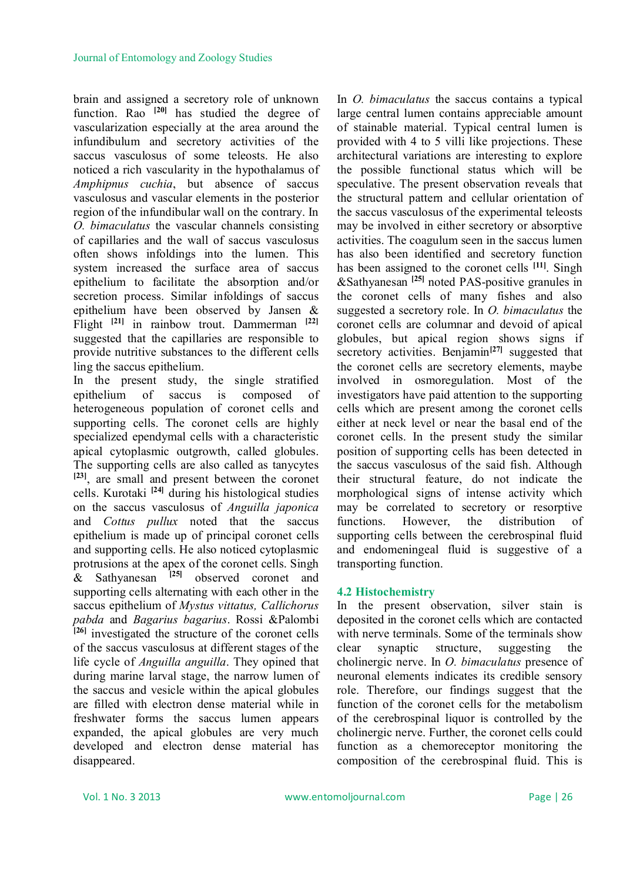brain and assigned a secretory role of unknown function. Rao **[20]** has studied the degree of vascularization especially at the area around the infundibulum and secretory activities of the saccus vasculosus of some teleosts. He also noticed a rich vascularity in the hypothalamus of *Amphipnus cuchia*, but absence of saccus vasculosus and vascular elements in the posterior region of the infundibular wall on the contrary. In *O. bimaculatus* the vascular channels consisting of capillaries and the wall of saccus vasculosus often shows infoldings into the lumen. This system increased the surface area of saccus epithelium to facilitate the absorption and/or secretion process. Similar infoldings of saccus epithelium have been observed by Jansen & Flight **[21]** in rainbow trout. Dammerman **[22]** suggested that the capillaries are responsible to provide nutritive substances to the different cells ling the saccus epithelium.

In the present study, the single stratified epithelium of saccus is composed of heterogeneous population of coronet cells and supporting cells. The coronet cells are highly specialized ependymal cells with a characteristic apical cytoplasmic outgrowth, called globules. The supporting cells are also called as tanycytes **[23]** , are small and present between the coronet cells. Kurotaki **[24]** during his histological studies on the saccus vasculosus of *Anguilla japonica* and *Cottus pullux* noted that the saccus epithelium is made up of principal coronet cells and supporting cells. He also noticed cytoplasmic protrusions at the apex of the coronet cells. Singh & Sathyanesan **[25]** observed coronet and supporting cells alternating with each other in the saccus epithelium of *Mystus vittatus, Callichorus pabda* and *Bagarius bagarius*. Rossi &Palombi **[26]** investigated the structure of the coronet cells of the saccus vasculosus at different stages of the life cycle of *Anguilla anguilla*. They opined that during marine larval stage, the narrow lumen of the saccus and vesicle within the apical globules are filled with electron dense material while in freshwater forms the saccus lumen appears expanded, the apical globules are very much developed and electron dense material has disappeared.

In *O. bimaculatus* the saccus contains a typical large central lumen contains appreciable amount of stainable material. Typical central lumen is provided with 4 to 5 villi like projections. These architectural variations are interesting to explore the possible functional status which will be speculative. The present observation reveals that the structural pattern and cellular orientation of the saccus vasculosus of the experimental teleosts may be involved in either secretory or absorptive activities. The coagulum seen in the saccus lumen has also been identified and secretory function has been assigned to the coronet cells **[11]** . Singh &Sathyanesan **[25]** noted PAS-positive granules in the coronet cells of many fishes and also suggested a secretory role. In *O. bimaculatus* the coronet cells are columnar and devoid of apical globules, but apical region shows signs if secretory activities. Benjamin<sup>[27]</sup> suggested that the coronet cells are secretory elements, maybe involved in osmoregulation. Most of the investigators have paid attention to the supporting cells which are present among the coronet cells either at neck level or near the basal end of the coronet cells. In the present study the similar position of supporting cells has been detected in the saccus vasculosus of the said fish. Although their structural feature, do not indicate the morphological signs of intense activity which may be correlated to secretory or resorptive functions. However, the distribution of supporting cells between the cerebrospinal fluid and endomeningeal fluid is suggestive of a transporting function.

### **4.2 Histochemistry**

In the present observation, silver stain is deposited in the coronet cells which are contacted with nerve terminals. Some of the terminals show clear synaptic structure, suggesting the cholinergic nerve. In *O. bimaculatus* presence of neuronal elements indicates its credible sensory role. Therefore, our findings suggest that the function of the coronet cells for the metabolism of the cerebrospinal liquor is controlled by the cholinergic nerve. Further, the coronet cells could function as a chemoreceptor monitoring the composition of the cerebrospinal fluid. This is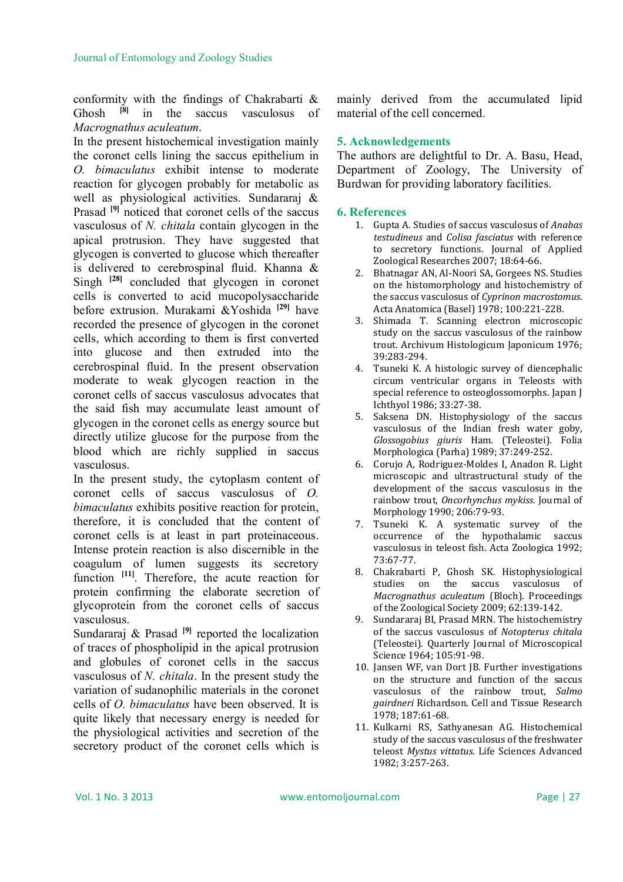conformity with the findings of Chakrabarti & Ghosh **[8]** in the saccus vasculosus of *Macrognathus aculeatum*.

In the present histochemical investigation mainly the coronet cells lining the saccus epithelium in *O. bimaculatus* exhibit intense to moderate reaction for glycogen probably for metabolic as well as physiological activities. Sundararaj & Prasad **[9]** noticed that coronet cells of the saccus vasculosus of *N. chitala* contain glycogen in the apical protrusion. They have suggested that glycogen is converted to glucose which thereafter is delivered to cerebrospinal fluid. Khanna & Singh **[28]** concluded that glycogen in coronet cells is converted to acid mucopolysaccharide before extrusion. Murakami &Yoshida **[29]** have recorded the presence of glycogen in the coronet cells, which according to them is first converted into glucose and then extruded into the cerebrospinal fluid. In the present observation moderate to weak glycogen reaction in the coronet cells of saccus vasculosus advocates that the said fish may accumulate least amount of glycogen in the coronet cells as energy source but directly utilize glucose for the purpose from the blood which are richly supplied in saccus vasculosus.

In the present study, the cytoplasm content of coronet cells of saccus vasculosus of *O. bimaculatus* exhibits positive reaction for protein, therefore, it is concluded that the content of coronet cells is at least in part proteinaceous. Intense protein reaction is also discernible in the coagulum of lumen suggests its secretory function <sup>[11]</sup>. Therefore, the acute reaction for protein confirming the elaborate secretion of glycoprotein from the coronet cells of saccus vasculosus.

Sundararaj & Prasad<sup>[9]</sup> reported the localization of traces of phospholipid in the apical protrusion and globules of coronet cells in the saccus vasculosus of *N. chitala*. In the present study the variation of sudanophilic materials in the coronet cells of *O. bimaculatus* have been observed. It is quite likely that necessary energy is needed for the physiological activities and secretion of the secretory product of the coronet cells which is

mainly derived from the accumulated lipid material of the cell concerned.

## **5. Acknowledgements**

The authors are delightful to Dr. A. Basu, Head, Department of Zoology, The University of Burdwan for providing laboratory facilities.

## **6. References**

- 1. Gupta A. Studies of saccus vasculosus of *Anabas testudineus* and *Colisa fasciatus* with reference to secretory functions. Journal of Applied Zoological Researches 2007; 18:64-66.
- 2. Bhatnagar AN, Al-Noori SA, Gorgees NS. Studies on the histomorphology and histochemistry of the saccus vasculosus of *Cyprinon macrostomus*. Acta Anatomica (Basel) 1978; 100:221-228.
- 3. Shimada T. Scanning electron microscopic study on the saccus vasculosus of the rainbow trout. Archivum Histologicum Japonicum 1976; 39:283-294.
- 4. Tsuneki K. A histologic survey of diencephalic circum ventricular organs in Teleosts with special reference to osteoglossomorphs. Japan J Ichthyol 1986; 33:27-38.
- 5. Saksena DN. Histophysiology of the saccus vasculosus of the Indian fresh water goby, *Glossogobius giuris* Ham. (Teleostei). Folia Morphologica (Parha) 1989; 37:249-252.
- 6. Corujo A, Rodriguez-Moldes I, Anadon R. Light microscopic and ultrastructural study of the development of the saccus vasculosus in the rainbow trout, *Oncorhynchus mykiss*. Journal of Morphology 1990; 206:79-93.
- 7. Tsuneki K. A systematic survey of the occurrence of the hypothalamic saccus vasculosus in teleost fish. Acta Zoologica 1992; 73:67-77.
- 8. Chakrabarti P, Ghosh SK. Histophysiological studies on the saccus vasculosus of *Macrognathus aculeatum* (Bloch). Proceedings of the Zoological Society 2009; 62:139-142.
- 9. Sundararaj BI, Prasad MRN. The histochemistry of the saccus vasculosus of *Notopterus chitala*  (Teleostei). Quarterly Journal of Microscopical Science 1964; 105:91-98.
- 10. Jansen WF, van Dort JB. Further investigations on the structure and function of the saccus vasculosus of the rainbow trout, *Salmo gairdneri* Richardson. Cell and Tissue Research 1978; 187:61-68.
- 11. Kulkarni RS, Sathyanesan AG. Histochemical study of the saccus vasculosus of the freshwater teleost *Mystus vittatus*. Life Sciences Advanced 1982; 3:257-263.